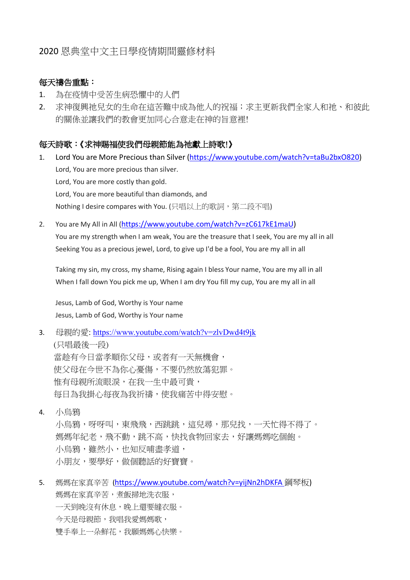## 每天禱告重點:

- 1. 為在疫情中受苦生病恐懼中的人們
- 2. 求神復興祂兒女的生命在這苦難中成為他人的祝福;求主更新我們全家人和祂、和彼此 的關係並讓我們的教會更加同心合意走在神的旨意裡!

## 每天詩歌:《求神賜福使我們母親節能為祂獻上詩歌!》

- 1. Lord You are More Precious than Silver (https://www.youtube.com/watch?v=taBu2bxO820) Lord, You are more precious than silver. Lord, You are more costly than gold. Lord, You are more beautiful than diamonds, and Nothing I desire compares with You. (只唱以上的歌詞,第二段不唱)
- 2. You are My All in All (https://www.youtube.com/watch?v=zC617kE1maU) You are my strength when I am weak, You are the treasure that I seek, You are my all in all Seeking You as a precious jewel, Lord, to give up I'd be a fool, You are my all in all

Taking my sin, my cross, my shame, Rising again I bless Your name, You are my all in all When I fall down You pick me up, When I am dry You fill my cup, You are my all in all

Jesus, Lamb of God, Worthy is Your name Jesus, Lamb of God, Worthy is Your name

- 3. 母親的愛: https://www.youtube.com/watch?v=zlvDwd4t9jk (只唱最後一段) 當趁有今日當孝順你父母,或者有一天無機會, 使父母在今世不為你心憂傷,不要仍然放蕩犯罪。 惟有母親所流眼淚,在我一生中最可貴, 每日為我掛心每夜為我祈禱,使我痛苦中得安慰。
- 4. 小烏鴉 小烏鴉,呀呀叫,東飛飛,西跳跳,這兒尋,那兒找,一天忙得不得了。 媽媽年紀老,飛不動,跳不高,快找食物回家去,好讓媽媽吃個飽。 小烏鴉,雖然小,也知反哺盡孝道, 小朋友,要學好,做個聽話的好寶寶。
- 5. 媽媽在家真辛苦 (https://www.youtube.com/watch?v=yijNn2hDKFA 鋼琴板) 媽媽在家真辛苦,煮飯掃地洗衣服, 一天到晚沒有休息,晚上還要縫衣服。 今天是母親節,我唱我愛媽媽歌, 雙手奉上一朵鮮花,我願媽媽心快樂。